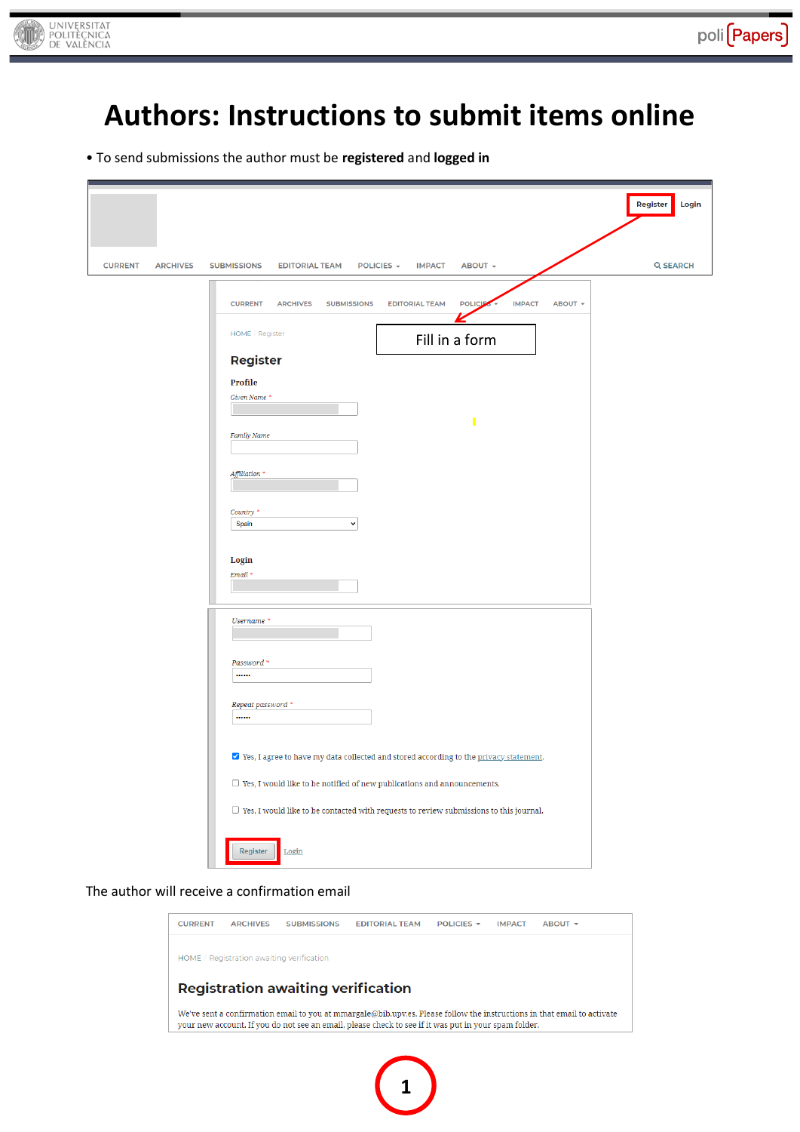

# **Authors: Instructions to submit items online**

• To send submissions the author must be **registered** and **logged in**

|                                   |                                                                                                                                                                                                                                                                                                                                                                                                                                                                                                                                                   | Register<br>Login |
|-----------------------------------|---------------------------------------------------------------------------------------------------------------------------------------------------------------------------------------------------------------------------------------------------------------------------------------------------------------------------------------------------------------------------------------------------------------------------------------------------------------------------------------------------------------------------------------------------|-------------------|
| <b>CURRENT</b><br><b>ARCHIVES</b> | <b>SUBMISSIONS</b><br><b>EDITORIAL TEAM</b><br>POLICIES -<br><b>IMPACT</b><br>ABOUT +                                                                                                                                                                                                                                                                                                                                                                                                                                                             | <b>Q SEARCH</b>   |
|                                   | <b>IMPACT</b><br><b>CURRENT</b><br><b>EDITORIAL TEAM</b><br><b>POLICIE</b><br>ABOUT +<br><b>ARCHIVES</b><br><b>SUBMISSIONS</b><br>HOME / Register<br>Fill in a form<br>Register<br>Profile<br>Given Name *<br>П<br>Family Name<br>Affiliation *<br>Country *<br>Spain<br>$\checkmark$<br>Login<br>$Email *$<br>Username *<br>Password *<br><br>Repeat password *<br><br>√ Yes, I agree to have my data collected and stored according to the privacy statement.<br>$\Box$ Yes, I would like to be notified of new publications and announcements. |                   |
|                                   | $\Box$ Yes, I would like to be contacted with requests to review submissions to this journal.                                                                                                                                                                                                                                                                                                                                                                                                                                                     |                   |
|                                   | Register<br>$\underline{\text{Login}}$                                                                                                                                                                                                                                                                                                                                                                                                                                                                                                            |                   |

The author will receive a confirmation email



**1**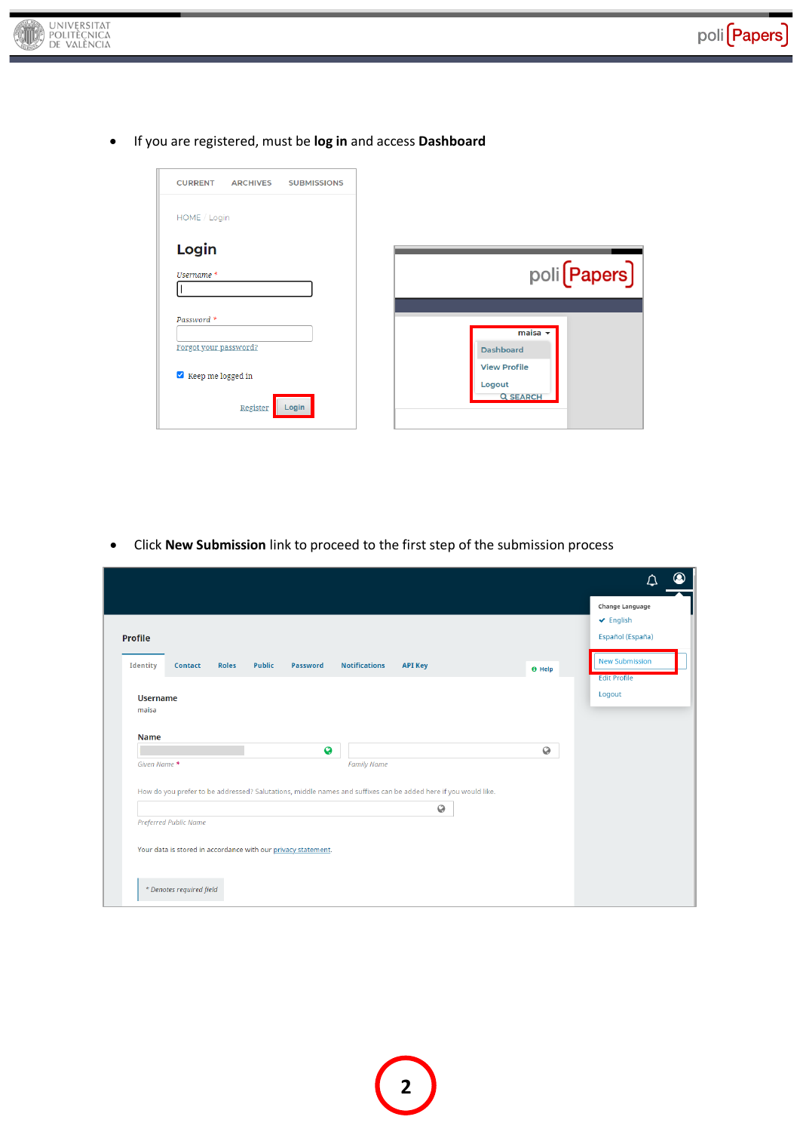

If you are registered, must be **log in** and access **Dashboard**

| <b>CURRENT</b><br><b>ARCHIVES</b><br><b>SUBMISSIONS</b> |                                                  |
|---------------------------------------------------------|--------------------------------------------------|
| HOME / Login                                            |                                                  |
| Login                                                   |                                                  |
| Username *                                              | poli (Papers)                                    |
| Password *                                              |                                                  |
| Forgot your password?                                   | $maisa -$<br><b>Dashboard</b>                    |
| Keep me logged in                                       | <b>View Profile</b><br>Logout<br><b>Q SEARCH</b> |
| Register<br>Login                                       |                                                  |

Click **New Submission** link to proceed to the first step of the submission process

| <b>Profile</b><br>Identity              | <b>Roles</b><br><b>Contact</b> | Public<br>Password                                                                                             | <b>Notifications</b>    | <b>API Key</b> | <b>O</b> Help | Change Language<br>$\vee$ English<br>Español (España)<br><b>New Submission</b><br><b>Edit Profile</b> |
|-----------------------------------------|--------------------------------|----------------------------------------------------------------------------------------------------------------|-------------------------|----------------|---------------|-------------------------------------------------------------------------------------------------------|
| <b>Username</b><br>maisa<br><b>Name</b> |                                |                                                                                                                |                         |                |               | Logout                                                                                                |
| Given Name *                            |                                |                                                                                                                | Ø<br><b>Family Name</b> |                | $\odot$       |                                                                                                       |
| Preferred Public Name                   |                                | How do you prefer to be addressed? Salutations, middle names and suffixes can be added here if you would like. |                         | $\odot$        |               |                                                                                                       |
|                                         |                                | Your data is stored in accordance with our privacy statement.                                                  |                         |                |               |                                                                                                       |
|                                         | * Denotes required field       |                                                                                                                |                         |                |               |                                                                                                       |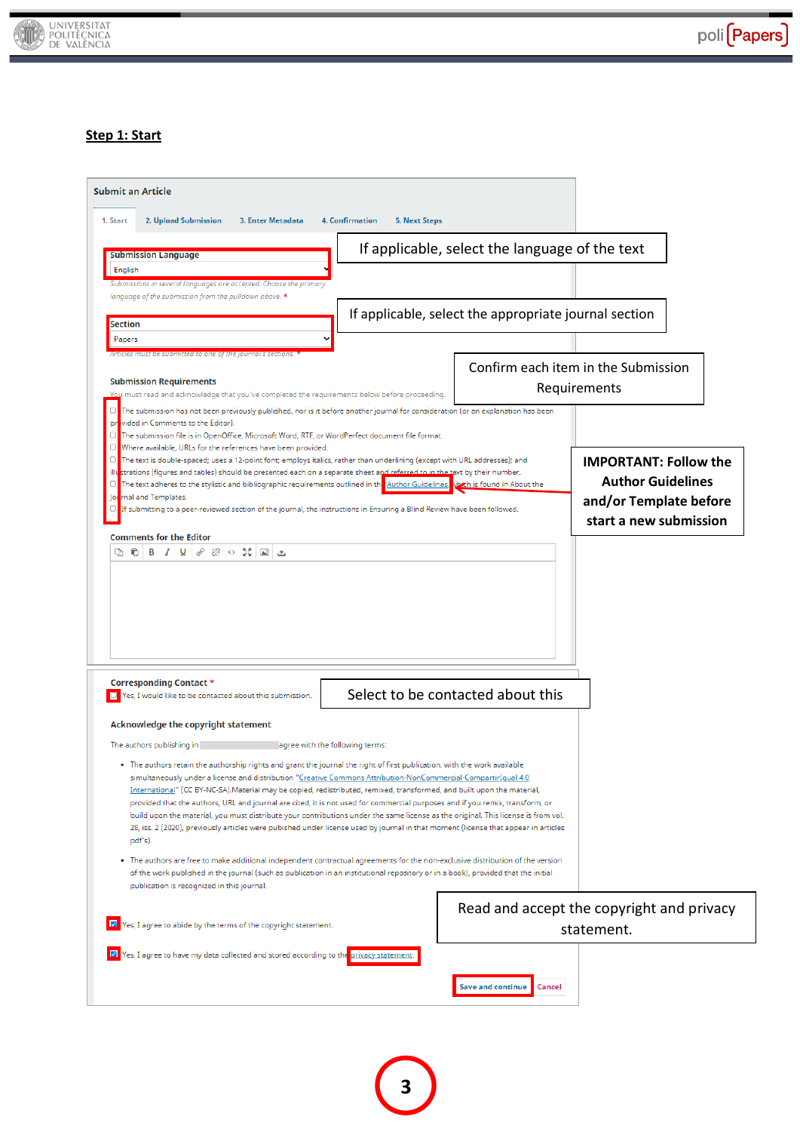

## **Step 1: Start**

| <b>Submit an Article</b><br>1. Start<br>2. Upload Submission<br>3. Enter Metadata                                                                                                                                                                                                                                                                                                                                                                                                                                                                                                                                                                                                                                                                                                                                                                                                                 | <b>4. Confirmation</b><br><b>5. Next Steps</b> |                                                       |                                                                                                              |
|---------------------------------------------------------------------------------------------------------------------------------------------------------------------------------------------------------------------------------------------------------------------------------------------------------------------------------------------------------------------------------------------------------------------------------------------------------------------------------------------------------------------------------------------------------------------------------------------------------------------------------------------------------------------------------------------------------------------------------------------------------------------------------------------------------------------------------------------------------------------------------------------------|------------------------------------------------|-------------------------------------------------------|--------------------------------------------------------------------------------------------------------------|
| <b>Submission Language</b>                                                                                                                                                                                                                                                                                                                                                                                                                                                                                                                                                                                                                                                                                                                                                                                                                                                                        |                                                | If applicable, select the language of the text        |                                                                                                              |
| English<br>Submissions in several languages are accepted. Choose the primary<br>language of the submission from the pulldown above. *                                                                                                                                                                                                                                                                                                                                                                                                                                                                                                                                                                                                                                                                                                                                                             |                                                |                                                       |                                                                                                              |
| <b>Section</b>                                                                                                                                                                                                                                                                                                                                                                                                                                                                                                                                                                                                                                                                                                                                                                                                                                                                                    |                                                | If applicable, select the appropriate journal section |                                                                                                              |
| Papers<br>Articles must be submitted to one of the journal's sections.<br><b>Submission Requirements</b><br>You must read and acknowledge that you've completed the requirements below before proceeding.<br>The submission has not been previously published, nor is it before another journal for consideration (or an explanation has been<br>O                                                                                                                                                                                                                                                                                                                                                                                                                                                                                                                                                |                                                |                                                       | Confirm each item in the Submission<br>Requirements                                                          |
| vided in Comments to the Editor).<br>pr<br>The submission file is in OpenOffice, Microsoft Word, RTF, or WordPerfect document file format.<br>O<br>□ Where available, URLs for the references have been provided.<br>The text is double-spaced; uses a 12-point font; employs italics, rather than underlining (except with URL addresses); and<br>$\Box$<br>illustrations (figures and tables) should be presented each on a separate sheet and referred to in the text by their number.<br>The text adheres to the stylistic and bibliographic requirements outlined in the Author Guidelines, vich is found in About the<br>mal and Templates.<br>lo<br>If submitting to a peer-reviewed section of the journal, the instructions in Ensuring a Blind Review have been followed.<br><b>Comments for the Editor</b>                                                                             |                                                |                                                       | <b>IMPORTANT: Follow the</b><br><b>Author Guidelines</b><br>and/or Template before<br>start a new submission |
| Corresponding Contact *                                                                                                                                                                                                                                                                                                                                                                                                                                                                                                                                                                                                                                                                                                                                                                                                                                                                           |                                                |                                                       |                                                                                                              |
| Yes, I would like to be contacted about this submission.                                                                                                                                                                                                                                                                                                                                                                                                                                                                                                                                                                                                                                                                                                                                                                                                                                          |                                                | Select to be contacted about this                     |                                                                                                              |
| Acknowledge the copyright statement<br>The authors publishing in<br>agree with the following terms:<br>. The authors retain the authorship rights and grant the journal the right of first publication, with the work available<br>simultaneously under a license and distribution "Creative Commons Attribution-NonCommercial-CompartirIqual 4.0<br>International" (CC BY-NC-SA).Material may be copied, redistributed, remixed, transformed, and built upon the material,<br>provided that the authors, URL and journal are cited, it is not used for commercial purposes and if you remix, transform, or<br>build upon the material, you must distribute your contributions under the same license as the original. This license is from vol.<br>28, iss. 2 (2020), previously articles were pubished under license used by journal in that moment (license that appear in articles<br>pdf's). |                                                |                                                       |                                                                                                              |
| • The authors are free to make additional independent contractual agreements for the non-exclusive distribution of the version<br>of the work published in the journal (such as publication in an institutional repository or in a book), provided that the initial<br>publication is recognized in this journal.                                                                                                                                                                                                                                                                                                                                                                                                                                                                                                                                                                                 |                                                |                                                       |                                                                                                              |
| Yes, I agree to abide by the terms of the copyright statement.                                                                                                                                                                                                                                                                                                                                                                                                                                                                                                                                                                                                                                                                                                                                                                                                                                    |                                                |                                                       | Read and accept the copyright and privacy<br>statement.                                                      |
| Yes, I agree to have my data collected and stored according to the privacy statement                                                                                                                                                                                                                                                                                                                                                                                                                                                                                                                                                                                                                                                                                                                                                                                                              |                                                | <b>Save and continue</b><br>Cancel                    |                                                                                                              |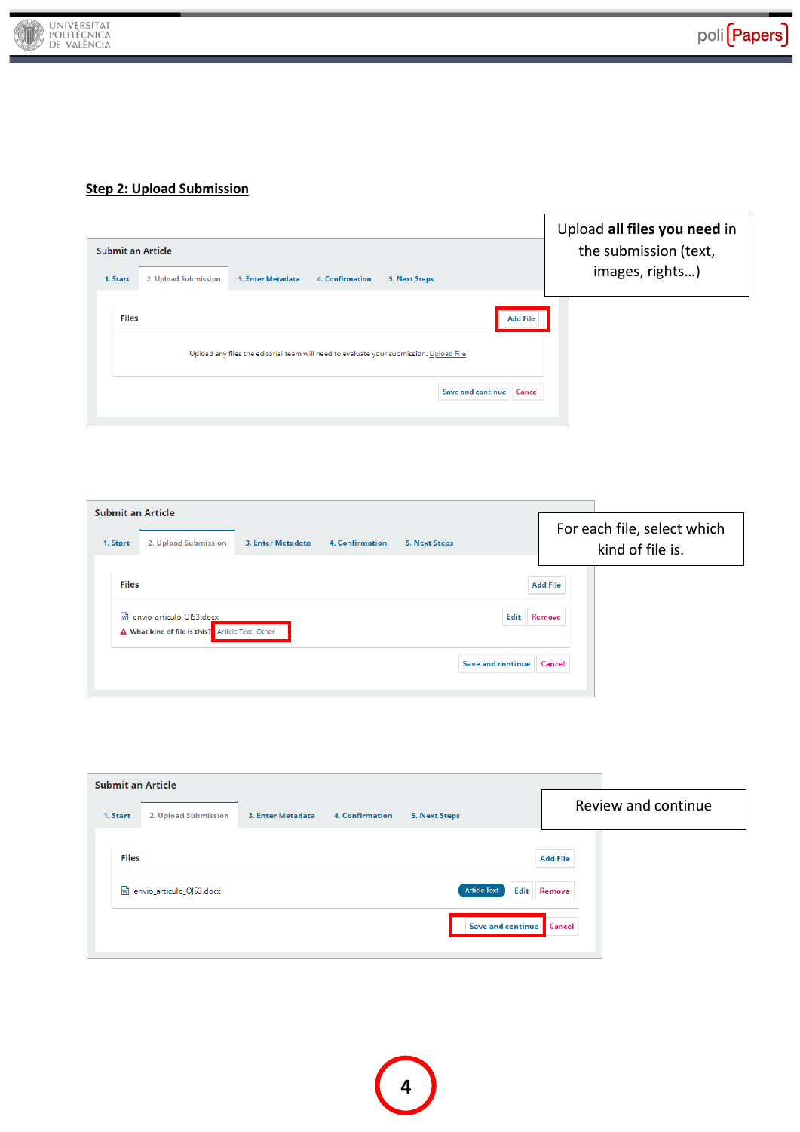

## **Step 2: Upload Submission**

| Submit an Article                |                                                                                        |                                    | Upload all files you need in<br>the submission (text, |
|----------------------------------|----------------------------------------------------------------------------------------|------------------------------------|-------------------------------------------------------|
| 1. Start<br>2. Upload Submission | 3. Enter Metadata<br><b>4. Confirmation</b>                                            | 5. Next Steps                      | images, rights)                                       |
| <b>Files</b>                     | Upload any files the editorial team will need to evaluate your submission. Upload File | <b>Add File</b>                    |                                                       |
|                                  |                                                                                        | <b>Save and continue</b><br>Cancel |                                                       |

 $\overline{r}$ 

| <b>Submit an Article</b><br>1. Start | 2. Upload Submission                                                          | 3. Enter Metadata | <b>4. Confirmation</b> | <b>5. Next Steps</b> |                          |                           | For each file, select which<br>kind of file is. |
|--------------------------------------|-------------------------------------------------------------------------------|-------------------|------------------------|----------------------|--------------------------|---------------------------|-------------------------------------------------|
| <b>Files</b>                         | m envio_articulo_OJS3.docx<br>A What kind of file is this? Article Text Other |                   |                        |                      | Edit                     | <b>Add File</b><br>Remove |                                                 |
|                                      |                                                                               |                   |                        |                      | <b>Save and continue</b> | Cancel                    |                                                 |

| <b>Submit an Article</b> |                            |                   |                 |                      |                 |                     |
|--------------------------|----------------------------|-------------------|-----------------|----------------------|-----------------|---------------------|
| 1. Start                 | 2. Upload Submission       | 3. Enter Metadata | 4. Confirmation | <b>5. Next Steps</b> |                 | Review and continue |
| <b>Files</b>             |                            |                   |                 |                      | <b>Add File</b> |                     |
|                          | w envio_articulo_OJS3.docx |                   |                 | <b>Article Text</b>  | Edit<br>Remove  |                     |
|                          |                            |                   |                 | Save and continue    | Cancel          |                     |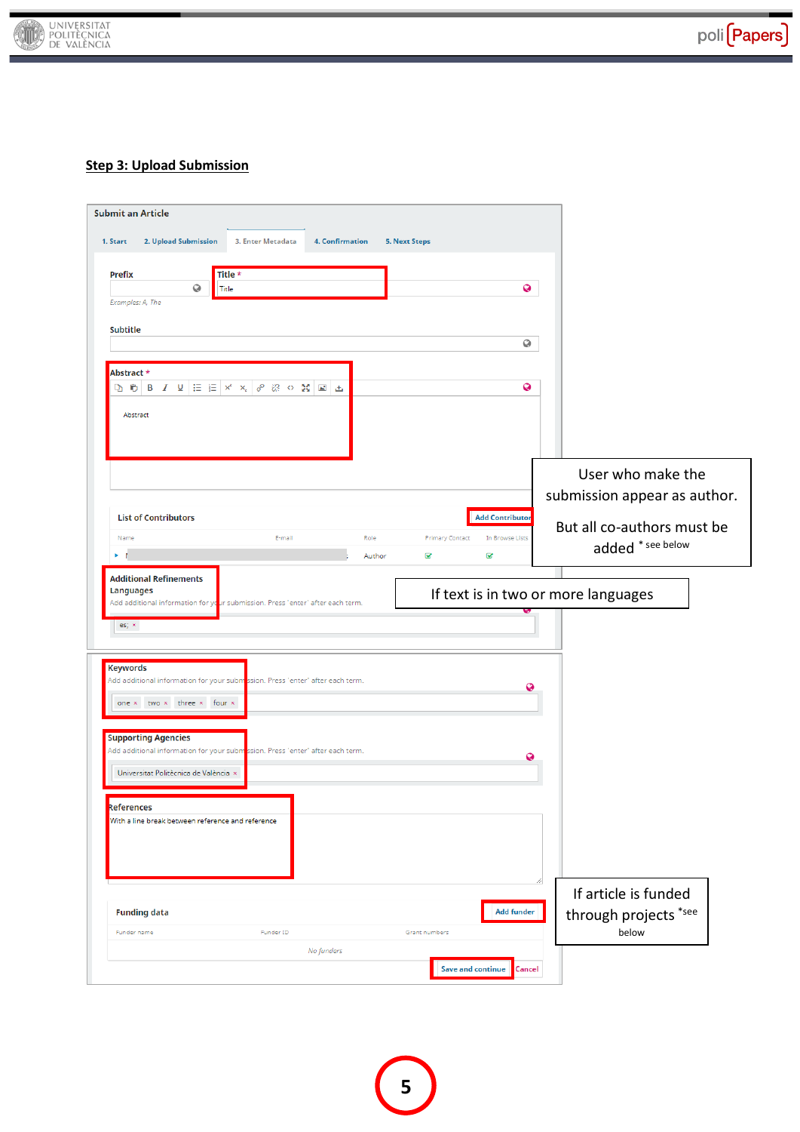

## **Step 3: Upload Submission**

| <b>Submit an Article</b>                          |                                                                                                                                                     |        |                          |                        |                              |
|---------------------------------------------------|-----------------------------------------------------------------------------------------------------------------------------------------------------|--------|--------------------------|------------------------|------------------------------|
| 1. Start<br>2. Upload Submission                  | 3. Enter Metadata<br><b>4. Confirmation</b>                                                                                                         |        | <b>5. Next Steps</b>     |                        |                              |
| <b>Prefix</b>                                     | Title *                                                                                                                                             |        |                          |                        |                              |
| 0<br>Examples: A, The                             | Title                                                                                                                                               |        |                          | 0                      |                              |
| Subtitle                                          |                                                                                                                                                     |        |                          |                        |                              |
|                                                   |                                                                                                                                                     |        |                          | 0                      |                              |
| Abstract *                                        |                                                                                                                                                     |        |                          |                        |                              |
|                                                   | $\mathbb{R}$ (b) B $I$ V $ \mathbb{H} $ $\mathbb{H}$ $ \mathbb{H} $ $\times$ $ \mathscr{S} $ $\mathbb{R}$ $\circ$ $\mathbb{N}$ $ \mathbb{H} $ $\pm$ |        |                          | 0                      |                              |
| Abstract                                          |                                                                                                                                                     |        |                          |                        |                              |
|                                                   |                                                                                                                                                     |        |                          |                        |                              |
|                                                   |                                                                                                                                                     |        |                          |                        | User who make the            |
|                                                   |                                                                                                                                                     |        |                          |                        | submission appear as author. |
| <b>List of Contributors</b>                       |                                                                                                                                                     |        |                          | <b>Add Contributor</b> |                              |
| Name                                              | E-mail                                                                                                                                              | Role   | <b>Primary Contact</b>   | In Browse Lists        | But all co-authors must be   |
|                                                   |                                                                                                                                                     | Author | Q                        | ⊗                      | added * see below            |
| es; ×                                             |                                                                                                                                                     |        |                          |                        |                              |
| <b>Keywords</b>                                   | Add additional information for your subm <mark>i</mark> ssion. Press "enter" after each term.                                                       |        |                          | Ø                      |                              |
| one x two x three x four x                        |                                                                                                                                                     |        |                          |                        |                              |
| <b>Supporting Agencies</b>                        |                                                                                                                                                     |        |                          |                        |                              |
|                                                   | Add additional information for your submassion. Press 'enter' after each term.                                                                      |        |                          | Q                      |                              |
| Universitat Politècnica de València x             |                                                                                                                                                     |        |                          |                        |                              |
| References                                        |                                                                                                                                                     |        |                          |                        |                              |
| With a line break between reference and reference |                                                                                                                                                     |        |                          |                        |                              |
|                                                   |                                                                                                                                                     |        |                          |                        | If article is funded         |
| <b>Funding data</b>                               |                                                                                                                                                     |        |                          | <b>Add funder</b>      | through projects *see        |
| Funder name                                       | Funder ID                                                                                                                                           |        | Grant numbers            |                        | below                        |
|                                                   | No funders                                                                                                                                          |        | <b>Save and continue</b> | Cancel                 |                              |
|                                                   |                                                                                                                                                     |        |                          |                        |                              |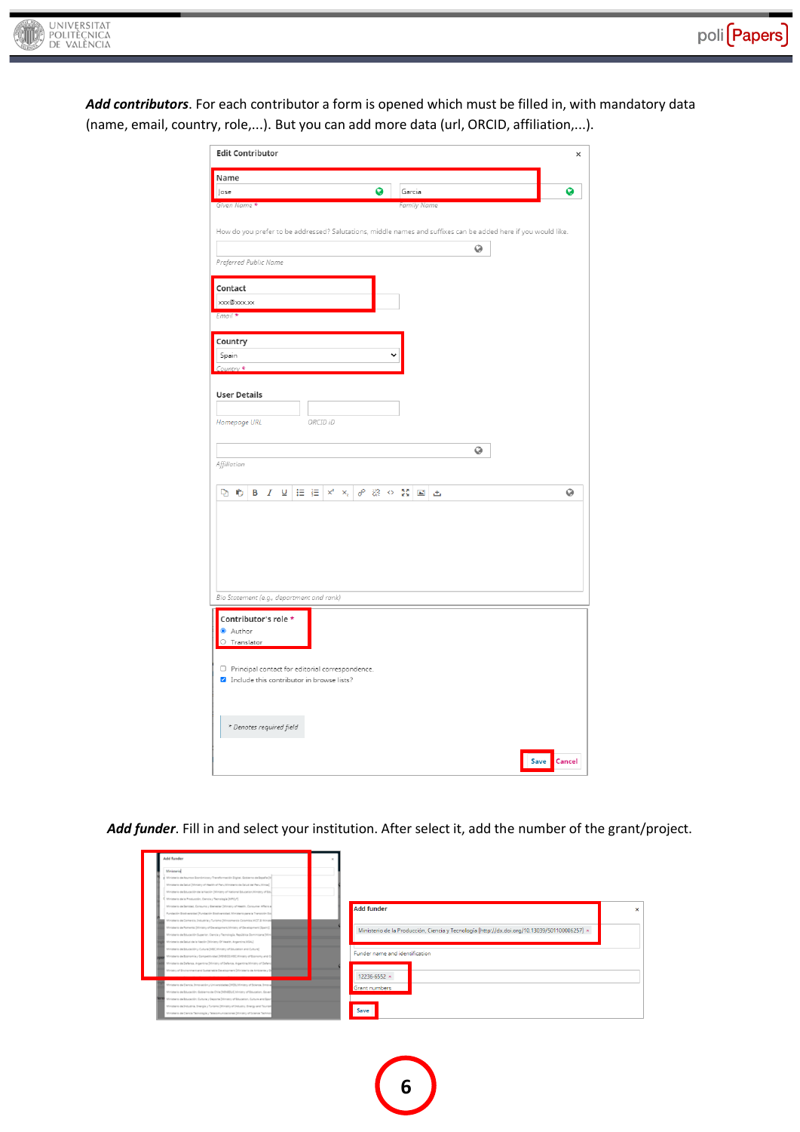

*Add contributors*. For each contributor a form is opened which must be filled in, with mandatory data (name, email, country, role,...). But you can add more data (url, ORCID, affiliation,...).

| <b>Edit Contributor</b>                                                                                                                                     | ×      |
|-------------------------------------------------------------------------------------------------------------------------------------------------------------|--------|
| Name                                                                                                                                                        |        |
| Ø<br>Jose<br>Garcia                                                                                                                                         | Q      |
| Given Name *<br><b>Family Name</b>                                                                                                                          |        |
| How do you prefer to be addressed? Salutations, middle names and suffixes can be added here if you would like.<br>$\odot$                                   |        |
| Preferred Public Name                                                                                                                                       |        |
| Contact<br>xxx@xxx.xx<br>Email *                                                                                                                            |        |
| Country<br>Spain<br>Country *                                                                                                                               |        |
| <b>User Details</b><br>ORCID iD<br>Homepage URL                                                                                                             |        |
| Q<br>Affiliation                                                                                                                                            |        |
| D C<br><b>B</b> $I \subseteq \mathbb{E} \subseteq \mathbb{H} \times X$<br>$\mathscr{E} \times \mathbb{C}$<br>$\Delta\omega$<br>西                            | Q      |
| Bio Statement (e.g., department and rank)                                                                                                                   |        |
| Contributor's role *<br>Author<br>$\circ$ Translator<br>$\Box$ Principal contact for editorial correspondence.<br>Include this contributor in browse lists? |        |
| * Denotes required field                                                                                                                                    |        |
| Save                                                                                                                                                        | Cancel |

## *Add funder*. Fill in and select your institution. After select it, add the number of the grant/project.

| Ministerial                                                                           |                                                                                               |
|---------------------------------------------------------------------------------------|-----------------------------------------------------------------------------------------------|
| Minimurio de Asuntos Económicos y Transformación Digital, Gobierno de España (N       |                                                                                               |
| Ministerio de Salud (Ministry of Health of Peru Ministerio de Salud del Peru Minsa)   |                                                                                               |
| Ministerio de Educación de la Nación (Ministry of National Education, Ministry of Edu |                                                                                               |
| Ministerio de la Froducción, Ciencia y Tecnología (MPC/T)                             |                                                                                               |
| Ministerio de Sanidad, Consumo y Bianastar (Ministry of Health, Consumer Affairs a)   | Add funder                                                                                    |
| Fundación Biodiversidad (Fundación Biodiversidad, Ministerio para la Transición Eco   |                                                                                               |
| Minimario da Comarcio, Industria y Turismo (Mincomarcio Colombia MCIT.El Minim        |                                                                                               |
| Ministerio de Fornerto (Ministry of Development Ministry of Development (Spain))      | Ministerio de la Producción, Ciencia y Tecnología [http://dx.doi.org/10.13039/501100006257] x |
| Ministerio de Educación Superior. Ciencia y Tecnología. República Dominicana (Min     |                                                                                               |
| Minimurio de Salud de la Nación (Minimy Of Haalth, Argentina, MSAL)                   |                                                                                               |
| Minimeria de Educación y Cultura (MEC.Minimy of Education and Culture)                | Funder name and identification                                                                |
| Ministerio de Economía y Competitividad (NSVECO/MEC/Ministry of Economy and C)        |                                                                                               |
| Ministerio de Defensa, Argentina (Ministry of Defence, Argentina Ministry of Defend   |                                                                                               |
| Ministry of Environment and Sustainable Development [Ministerio de Ambiente y Di      |                                                                                               |
|                                                                                       | 12236-6552 ×                                                                                  |
| Ministerio de Clancia, Innovación y Universidades (MCSLMinistry of Science, Innova    | Grant numbers                                                                                 |
| Ministerio de Educación, Gobierno de Chile (MINEDUC, Ministry of Education, Govern    |                                                                                               |
| Ministerio de Educación, Cultura y Deporte (Ministry of Education, Culture and Sport  |                                                                                               |
| Ministerio de Industria, Energía y Turismo (Ministry of Industry, Energy and Tourism  | Save                                                                                          |